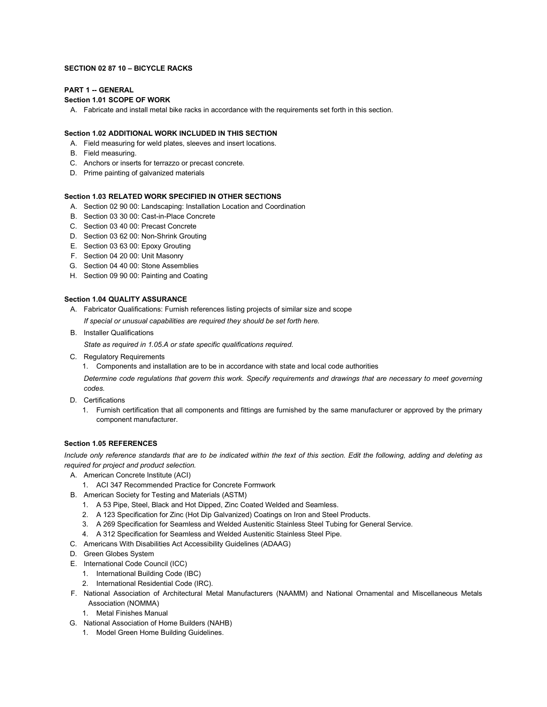### **SECTION 02 87 10 – BICYCLE RACKS**

# **PART 1 -- GENERAL**

# **Section 1.01 SCOPE OF WORK**

A. Fabricate and install metal bike racks in accordance with the requirements set forth in this section.

# **Section 1.02 ADDITIONAL WORK INCLUDED IN THIS SECTION**

- A. Field measuring for weld plates, sleeves and insert locations.
- B. Field measuring.
- C. Anchors or inserts for terrazzo or precast concrete.
- D. Prime painting of galvanized materials

# **Section 1.03 RELATED WORK SPECIFIED IN OTHER SECTIONS**

- A. Section 02 90 00: Landscaping: Installation Location and Coordination
- B. Section 03 30 00: Cast-in-Place Concrete
- C. Section 03 40 00: Precast Concrete
- D. Section 03 62 00: Non-Shrink Grouting
- E. Section 03 63 00: Epoxy Grouting
- F. Section 04 20 00: Unit Masonry
- G. Section 04 40 00: Stone Assemblies
- H. Section 09 90 00: Painting and Coating

#### **Section 1.04 QUALITY ASSURANCE**

- A. Fabricator Qualifications: Furnish references listing projects of similar size and scope *If special or unusual capabilities are required they should be set forth here.*
- B. Installer Qualifications

*State as required in 1.05.A or state specific qualifications required.*

C. Regulatory Requirements

1. Components and installation are to be in accordance with state and local code authorities

*Determine code regulations that govern this work. Specify requirements and drawings that are necessary to meet governing codes.*

- D. Certifications
	- 1. Furnish certification that all components and fittings are furnished by the same manufacturer or approved by the primary component manufacturer.

### **Section 1.05 REFERENCES**

*Include only reference standards that are to be indicated within the text of this section. Edit the following, adding and deleting as required for project and product selection.* 

- A. American Concrete Institute (ACI)
	- 1. ACI 347 Recommended Practice for Concrete Formwork
- B. American Society for Testing and Materials (ASTM)
	- 1. A 53 Pipe, Steel, Black and Hot Dipped, Zinc Coated Welded and Seamless.
	- 2. A 123 Specification for Zinc (Hot Dip Galvanized) Coatings on Iron and Steel Products.
	- 3. A 269 Specification for Seamless and Welded Austenitic Stainless Steel Tubing for General Service.
	- 4. A 312 Specification for Seamless and Welded Austenitic Stainless Steel Pipe.
- C. Americans With Disabilities Act Accessibility Guidelines (ADAAG)
- D. Green Globes System
- E. International Code Council (ICC)
	- 1. International Building Code (IBC)
	- 2. International Residential Code (IRC).
- F. National Association of Architectural Metal Manufacturers (NAAMM) and National Ornamental and Miscellaneous Metals Association (NOMMA)
	- 1. Metal Finishes Manual
- G. National Association of Home Builders (NAHB)
	- 1. Model Green Home Building Guidelines.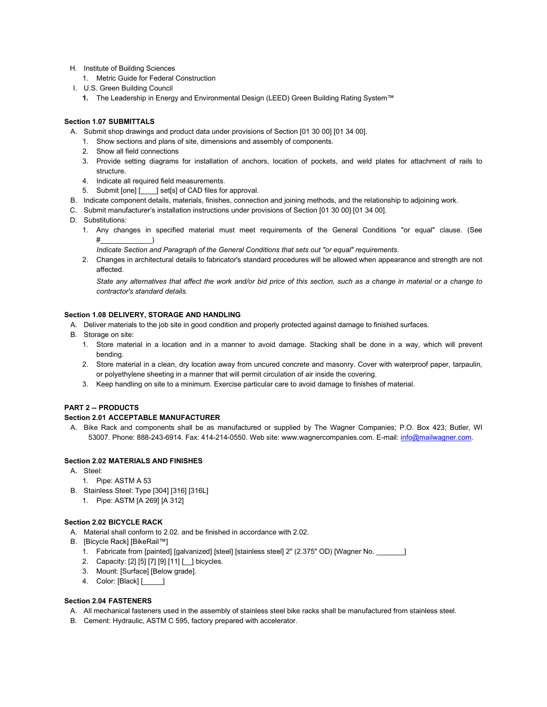- H. Institute of Building Sciences
	- 1. Metric Guide for Federal Construction
- I. U.S. Green Building Council
	- **1.** The Leadership in Energy and Environmental Design (LEED) Green Building Rating System™

# **Section 1.07 SUBMITTALS**

- A. Submit shop drawings and product data under provisions of Section [01 30 00] [01 34 00].
	- 1. Show sections and plans of site, dimensions and assembly of components.
	- 2. Show all field connections
	- 3. Provide setting diagrams for installation of anchors, location of pockets, and weld plates for attachment of rails to structure.
	- 4. Indicate all required field measurements.
	- 5. Submit [one] [ ] set[s] of CAD files for approval.
- B. Indicate component details, materials, finishes, connection and joining methods, and the relationship to adjoining work.
- C. Submit manufacturer's installation instructions under provisions of Section [01 30 00] [01 34 00].
- D. Substitutions:
	- 1. Any changes in specified material must meet requirements of the General Conditions "or equal" clause. (See  $#$

*Indicate Section and Paragraph of the General Conditions that sets out "or equal" requirements.*

2. Changes in architectural details to fabricator's standard procedures will be allowed when appearance and strength are not affected.

*State any alternatives that affect the work and/or bid price of this section, such as a change in material or a change to contractor's standard details.*

## **Section 1.08 DELIVERY, STORAGE AND HANDLING**

- A. Deliver materials to the job site in good condition and properly protected against damage to finished surfaces.
- B. Storage on site:
	- 1. Store material in a location and in a manner to avoid damage. Stacking shall be done in a way, which will prevent bending.
	- 2. Store material in a clean, dry location away from uncured concrete and masonry. Cover with waterproof paper, tarpaulin, or polyethylene sheeting in a manner that will permit circulation of air inside the covering.
	- 3. Keep handling on site to a minimum. Exercise particular care to avoid damage to finishes of material.

### **PART 2 -- PRODUCTS**

#### **Section 2.01 ACCEPTABLE MANUFACTURER**

A. Bike Rack and components shall be as manufactured or supplied by The Wagner Companies; P.O. Box 423; Butler, WI 53007. Phone: 888-243-6914. Fax: 414-214-0550. Web site: www.wagnercompanies.com. E-mail[: info@mailwagner.com.](mailto:info@mailwagner.com)

# **Section 2.02 MATERIALS AND FINISHES**

- A. Steel:
	- 1. Pipe: ASTM A 53
- B. Stainless Steel: Type [304] [316] [316L]
	- 1. Pipe: ASTM [A 269] [A 312]

#### **Section 2.02 BICYCLE RACK**

- A. Material shall conform to 2.02. and be finished in accordance with 2.02.
- B. [Bicycle Rack] [BikeRail™]
	- 1. Fabricate from [painted] [galvanized] [steel] [stainless steel] 2" (2.375" OD) [Wagner No. \_\_\_\_\_\_\_]
	- 2. Capacity: [2] [5] [7] [9] [11] [\_\_] bicycles.
	- 3. Mount: [Surface] [Below grade].
	- 4. Color: [Black] [\_\_\_\_\_]

#### **Section 2.04 FASTENERS**

- A. All mechanical fasteners used in the assembly of stainless steel bike racks shall be manufactured from stainless steel.
- B. Cement: Hydraulic, ASTM C 595, factory prepared with accelerator.